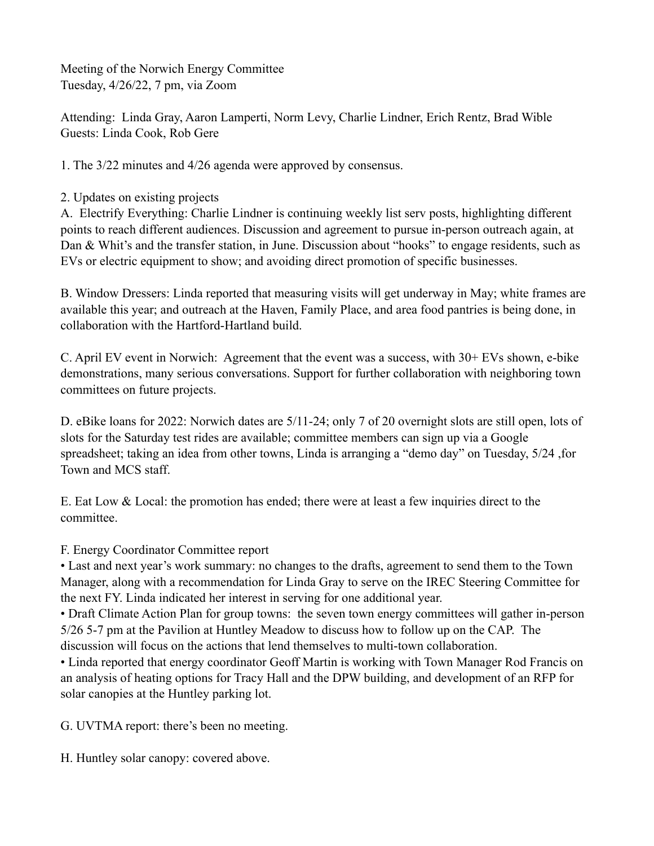Meeting of the Norwich Energy Committee Tuesday, 4/26/22, 7 pm, via Zoom

Attending: Linda Gray, Aaron Lamperti, Norm Levy, Charlie Lindner, Erich Rentz, Brad Wible Guests: Linda Cook, Rob Gere

1. The 3/22 minutes and 4/26 agenda were approved by consensus.

2. Updates on existing projects

A. Electrify Everything: Charlie Lindner is continuing weekly list serv posts, highlighting different points to reach different audiences. Discussion and agreement to pursue in-person outreach again, at Dan & Whit's and the transfer station, in June. Discussion about "hooks" to engage residents, such as EVs or electric equipment to show; and avoiding direct promotion of specific businesses.

B. Window Dressers: Linda reported that measuring visits will get underway in May; white frames are available this year; and outreach at the Haven, Family Place, and area food pantries is being done, in collaboration with the Hartford-Hartland build.

C. April EV event in Norwich: Agreement that the event was a success, with 30+ EVs shown, e-bike demonstrations, many serious conversations. Support for further collaboration with neighboring town committees on future projects.

D. eBike loans for 2022: Norwich dates are 5/11-24; only 7 of 20 overnight slots are still open, lots of slots for the Saturday test rides are available; committee members can sign up via a Google spreadsheet; taking an idea from other towns, Linda is arranging a "demo day" on Tuesday, 5/24 ,for Town and MCS staff.

E. Eat Low & Local: the promotion has ended; there were at least a few inquiries direct to the committee.

## F. Energy Coordinator Committee report

• Last and next year's work summary: no changes to the drafts, agreement to send them to the Town Manager, along with a recommendation for Linda Gray to serve on the IREC Steering Committee for the next FY. Linda indicated her interest in serving for one additional year.

• Draft Climate Action Plan for group towns: the seven town energy committees will gather in-person 5/26 5-7 pm at the Pavilion at Huntley Meadow to discuss how to follow up on the CAP. The discussion will focus on the actions that lend themselves to multi-town collaboration.

• Linda reported that energy coordinator Geoff Martin is working with Town Manager Rod Francis on an analysis of heating options for Tracy Hall and the DPW building, and development of an RFP for solar canopies at the Huntley parking lot.

G. UVTMA report: there's been no meeting.

H. Huntley solar canopy: covered above.